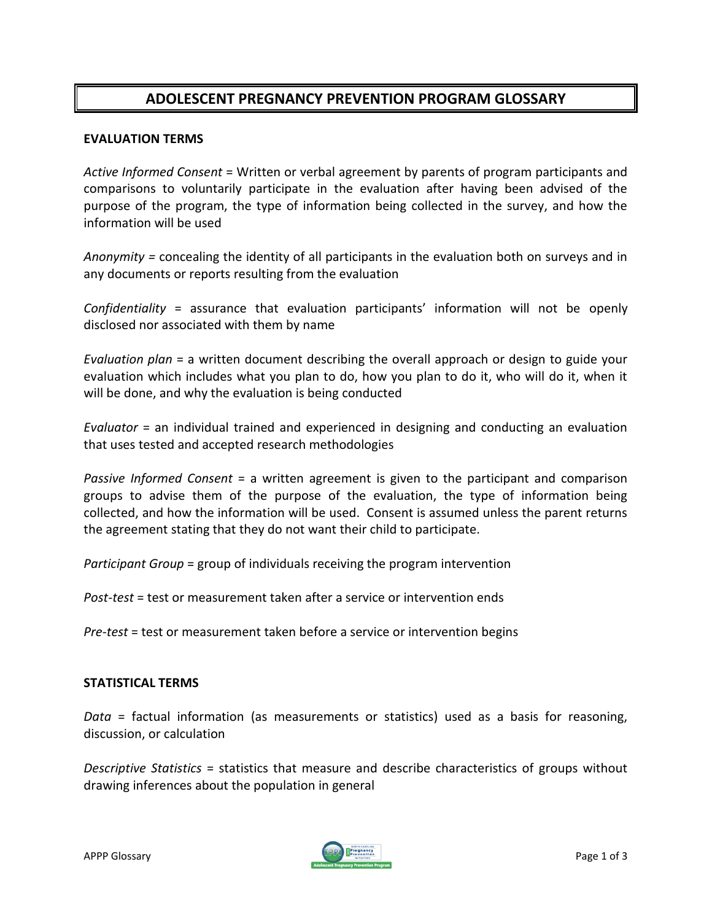## **ADOLESCENT PREGNANCY PREVENTION PROGRAM GLOSSARY**

## **EVALUATION TERMS**

*Active Informed Consent* = Written or verbal agreement by parents of program participants and comparisons to voluntarily participate in the evaluation after having been advised of the purpose of the program, the type of information being collected in the survey, and how the information will be used

*Anonymity =* concealing the identity of all participants in the evaluation both on surveys and in any documents or reports resulting from the evaluation

*Confidentiality* = assurance that evaluation participants' information will not be openly disclosed nor associated with them by name

*Evaluation plan* = a written document describing the overall approach or design to guide your evaluation which includes what you plan to do, how you plan to do it, who will do it, when it will be done, and why the evaluation is being conducted

*Evaluator* = an individual trained and experienced in designing and conducting an evaluation that uses tested and accepted research methodologies

*Passive Informed Consent* = a written agreement is given to the participant and comparison groups to advise them of the purpose of the evaluation, the type of information being collected, and how the information will be used. Consent is assumed unless the parent returns the agreement stating that they do not want their child to participate.

*Participant Group* = group of individuals receiving the program intervention

*Post-test* = test or measurement taken after a service or intervention ends

*Pre-test* = test or measurement taken before a service or intervention begins

## **STATISTICAL TERMS**

*Data* = factual information (as measurements or statistics) used as a basis for reasoning, discussion, or calculation

*Descriptive Statistics* = statistics that measure and describe characteristics of groups without drawing inferences about the population in general

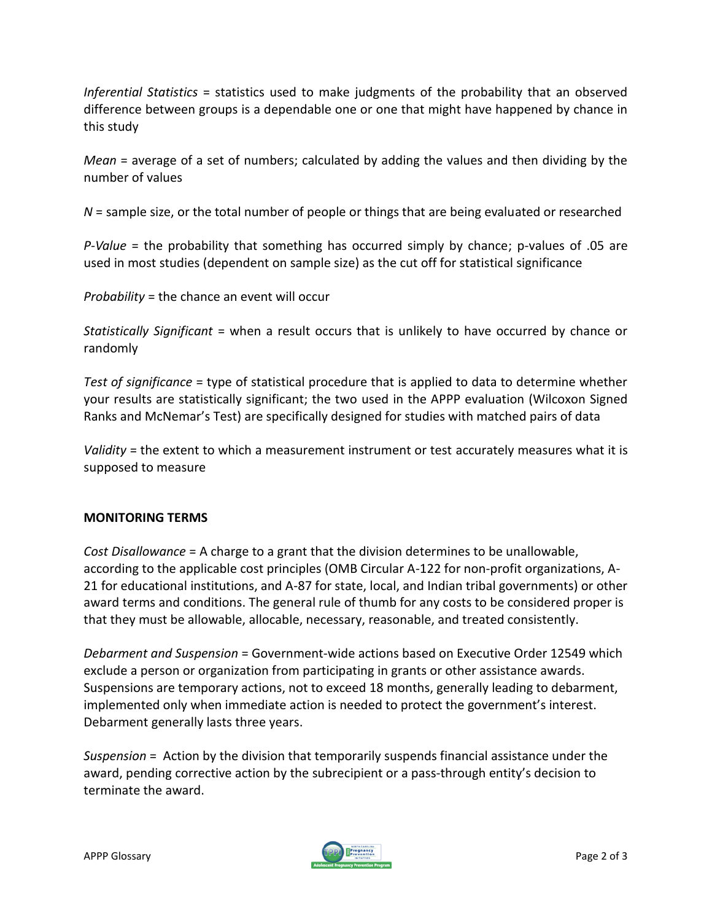*Inferential Statistics* = statistics used to make judgments of the probability that an observed difference between groups is a dependable one or one that might have happened by chance in this study

*Mean* = average of a set of numbers; calculated by adding the values and then dividing by the number of values

*N* = sample size, or the total number of people or things that are being evaluated or researched

*P-Value* = the probability that something has occurred simply by chance; p-values of .05 are used in most studies (dependent on sample size) as the cut off for statistical significance

*Probability* = the chance an event will occur

*Statistically Significant* = when a result occurs that is unlikely to have occurred by chance or randomly

*Test of significance* = type of statistical procedure that is applied to data to determine whether your results are statistically significant; the two used in the APPP evaluation (Wilcoxon Signed Ranks and McNemar's Test) are specifically designed for studies with matched pairs of data

*Validity* = the extent to which a measurement instrument or test accurately measures what it is supposed to measure

## **MONITORING TERMS**

*Cost Disallowance* = A charge to a grant that the division determines to be unallowable, according to the applicable cost principles (OMB Circular A-122 for non-profit organizations, A-21 for educational institutions, and A-87 for state, local, and Indian tribal governments) or other award terms and conditions. The general rule of thumb for any costs to be considered proper is that they must be allowable, allocable, necessary, reasonable, and treated consistently.

*Debarment and Suspension* = Government-wide actions based on Executive Order 12549 which exclude a person or organization from participating in grants or other assistance awards. Suspensions are temporary actions, not to exceed 18 months, generally leading to debarment, implemented only when immediate action is needed to protect the government's interest. Debarment generally lasts three years.

*Suspension* = Action by the division that temporarily suspends financial assistance under the award, pending corrective action by the subrecipient or a pass-through entity's decision to terminate the award.